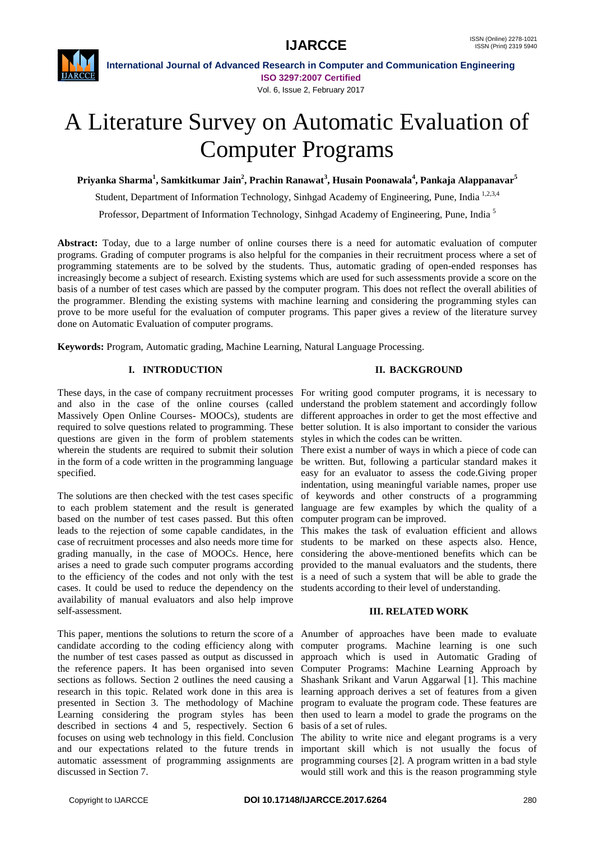



**International Journal of Advanced Research in Computer and Communication Engineering ISO 3297:2007 Certified** Vol. 6, Issue 2, February 2017

# A Literature Survey on Automatic Evaluation of Computer Programs

**Priyanka Sharma<sup>1</sup> , Samkitkumar Jain<sup>2</sup> , Prachin Ranawat<sup>3</sup> , Husain Poonawala<sup>4</sup> , Pankaja Alappanavar<sup>5</sup>**

Student, Department of Information Technology, Sinhgad Academy of Engineering, Pune, India<sup>1,2,3,4</sup>

Professor, Department of Information Technology, Sinhgad Academy of Engineering, Pune, India<sup>5</sup>

**Abstract:** Today, due to a large number of online courses there is a need for automatic evaluation of computer programs. Grading of computer programs is also helpful for the companies in their recruitment process where a set of programming statements are to be solved by the students. Thus, automatic grading of open-ended responses has increasingly become a subject of research. Existing systems which are used for such assessments provide a score on the basis of a number of test cases which are passed by the computer program. This does not reflect the overall abilities of the programmer. Blending the existing systems with machine learning and considering the programming styles can prove to be more useful for the evaluation of computer programs. This paper gives a review of the literature survey done on Automatic Evaluation of computer programs.

**Keywords:** Program, Automatic grading, Machine Learning, Natural Language Processing.

# **I. INTRODUCTION**

and also in the case of the online courses (called understand the problem statement and accordingly follow Massively Open Online Courses- MOOCs), students are different approaches in order to get the most effective and required to solve questions related to programming. These questions are given in the form of problem statements wherein the students are required to submit their solution There exist a number of ways in which a piece of code can in the form of a code written in the programming language specified.

The solutions are then checked with the test cases specific to each problem statement and the result is generated based on the number of test cases passed. But this often computer program can be improved. leads to the rejection of some capable candidates, in the This makes the task of evaluation efficient and allows case of recruitment processes and also needs more time for grading manually, in the case of MOOCs. Hence, here arises a need to grade such computer programs according to the efficiency of the codes and not only with the test cases. It could be used to reduce the dependency on the availability of manual evaluators and also help improve self-assessment.

This paper, mentions the solutions to return the score of a Anumber of approaches have been made to evaluate candidate according to the coding efficiency along with computer programs. Machine learning is one such the number of test cases passed as output as discussed in approach which is used in Automatic Grading of the reference papers. It has been organised into seven Computer Programs: Machine Learning Approach by sections as follows. Section 2 outlines the need causing a Shashank Srikant and Varun Aggarwal [1]. This machine research in this topic. Related work done in this area is learning approach derives a set of features from a given presented in Section 3. The methodology of Machine program to evaluate the program code. These features are Learning considering the program styles has been then used to learn a model to grade the programs on the described in sections 4 and 5, respectively. Section 6 basis of a set of rules. focuses on using web technology in this field. Conclusion The ability to write nice and elegant programs is a very and our expectations related to the future trends in important skill which is not usually the focus of automatic assessment of programming assignments are programming courses [2]. A program written in a bad style discussed in Section 7.

# **II. BACKGROUND**

These days, in the case of company recruitment processes For writing good computer programs, it is necessary to better solution. It is also important to consider the various styles in which the codes can be written.

> be written. But, following a particular standard makes it easy for an evaluator to assess the code.Giving proper indentation, using meaningful variable names, proper use of keywords and other constructs of a programming language are few examples by which the quality of a

> students to be marked on these aspects also. Hence, considering the above-mentioned benefits which can be provided to the manual evaluators and the students, there is a need of such a system that will be able to grade the students according to their level of understanding.

# **III. RELATED WORK**

would still work and this is the reason programming style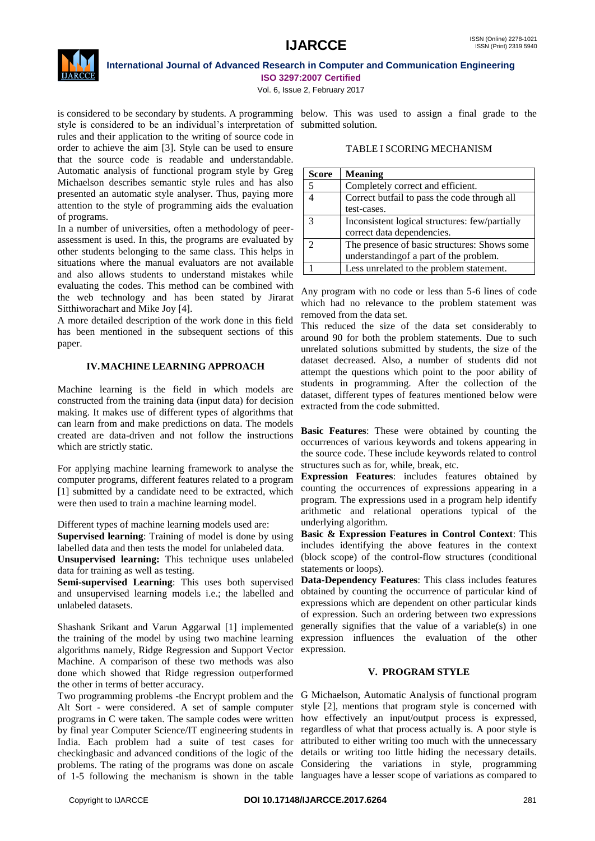

#### **International Journal of Advanced Research in Computer and Communication Engineering ISO 3297:2007 Certified**

Vol. 6, Issue 2, February 2017

style is considered to be an individual's interpretation of submitted solution. rules and their application to the writing of source code in order to achieve the aim [3]. Style can be used to ensure that the source code is readable and understandable. Automatic analysis of functional program style by Greg Michaelson describes semantic style rules and has also presented an automatic style analyser. Thus, paying more attention to the style of programming aids the evaluation of programs.

In a number of universities, often a methodology of peerassessment is used. In this, the programs are evaluated by other students belonging to the same class. This helps in situations where the manual evaluators are not available and also allows students to understand mistakes while evaluating the codes. This method can be combined with the web technology and has been stated by Jirarat Sitthiworachart and Mike Joy [4].

A more detailed description of the work done in this field has been mentioned in the subsequent sections of this paper.

# **IV.MACHINE LEARNING APPROACH**

Machine learning is the field in which models are constructed from the training data (input data) for decision making. It makes use of different types of algorithms that can learn from and make predictions on data. The models created are data-driven and not follow the instructions which are strictly static.

For applying machine learning framework to analyse the computer programs, different features related to a program [1] submitted by a candidate need to be extracted, which were then used to train a machine learning model.

Different types of machine learning models used are:

**Supervised learning**: Training of model is done by using labelled data and then tests the model for unlabeled data.

**Unsupervised learning:** This technique uses unlabeled data for training as well as testing.

**Semi-supervised Learning**: This uses both supervised and unsupervised learning models i.e.; the labelled and unlabeled datasets.

Shashank Srikant and Varun Aggarwal [1] implemented the training of the model by using two machine learning algorithms namely, Ridge Regression and Support Vector Machine. A comparison of these two methods was also done which showed that Ridge regression outperformed the other in terms of better accuracy.

Two programming problems -the Encrypt problem and the Alt Sort - were considered. A set of sample computer programs in C were taken. The sample codes were written how effectively an input/output process is expressed, by final year Computer Science/IT engineering students in regardless of what that process actually is. A poor style is India. Each problem had a suite of test cases for attributed to either writing too much with the unnecessary checkingbasic and advanced conditions of the logic of the details or writing too little hiding the necessary details. problems. The rating of the programs was done on ascale Considering the variations in style, programming of 1-5 following the mechanism is shown in the table languages have a lesser scope of variations as compared to

is considered to be secondary by students. A programming below. This was used to assign a final grade to the

# TABLE I SCORING MECHANISM

| <b>Score</b>  | <b>Meaning</b>                                 |
|---------------|------------------------------------------------|
| .5            | Completely correct and efficient.              |
|               | Correct butfail to pass the code through all   |
|               | test-cases.                                    |
| $\mathcal{R}$ | Inconsistent logical structures: few/partially |
|               | correct data dependencies.                     |
| ി             | The presence of basic structures: Shows some   |
|               | understanding of a part of the problem.        |
|               | Less unrelated to the problem statement.       |

Any program with no code or less than 5-6 lines of code which had no relevance to the problem statement was removed from the data set.

This reduced the size of the data set considerably to around 90 for both the problem statements. Due to such unrelated solutions submitted by students, the size of the dataset decreased. Also, a number of students did not attempt the questions which point to the poor ability of students in programming. After the collection of the dataset, different types of features mentioned below were extracted from the code submitted.

**Basic Features**: These were obtained by counting the occurrences of various keywords and tokens appearing in the source code. These include keywords related to control structures such as for, while, break, etc.

**Expression Features**: includes features obtained by counting the occurrences of expressions appearing in a program. The expressions used in a program help identify arithmetic and relational operations typical of the underlying algorithm.

**Basic & Expression Features in Control Context**: This includes identifying the above features in the context (block scope) of the control-flow structures (conditional statements or loops).

**Data-Dependency Features**: This class includes features obtained by counting the occurrence of particular kind of expressions which are dependent on other particular kinds of expression. Such an ordering between two expressions generally signifies that the value of a variable(s) in one expression influences the evaluation of the other expression.

# **V. PROGRAM STYLE**

G Michaelson, Automatic Analysis of functional program style [2], mentions that program style is concerned with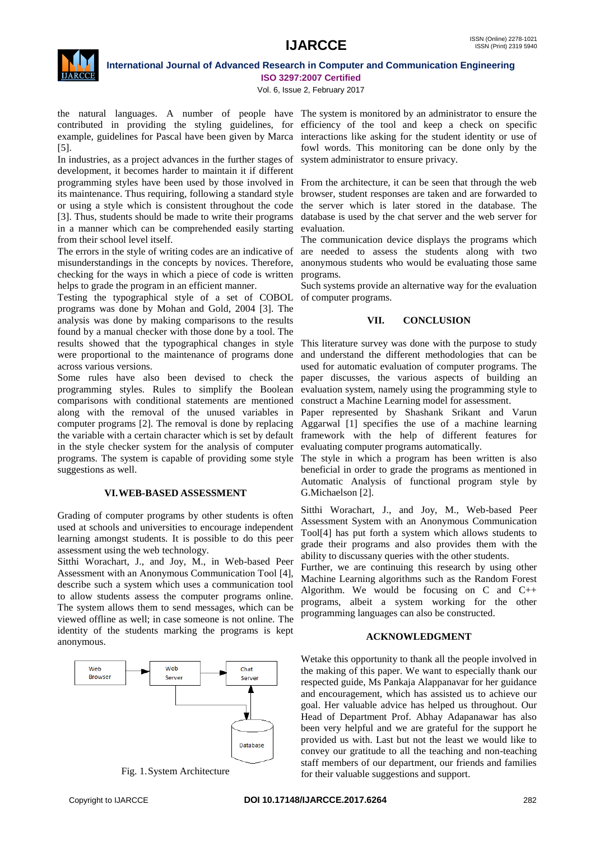

# **International Journal of Advanced Research in Computer and Communication Engineering ISO 3297:2007 Certified**

Vol. 6, Issue 2, February 2017

the natural languages. A number of people have The system is monitored by an administrator to ensure the contributed in providing the styling guidelines, for efficiency of the tool and keep a check on specific example, guidelines for Pascal have been given by Marca interactions like asking for the student identity or use of [5].

In industries, as a project advances in the further stages of development, it becomes harder to maintain it if different programming styles have been used by those involved in From the architecture, it can be seen that through the web its maintenance. Thus requiring, following a standard style or using a style which is consistent throughout the code [3]. Thus, students should be made to write their programs in a manner which can be comprehended easily starting from their school level itself.

The errors in the style of writing codes are an indicative of misunderstandings in the concepts by novices. Therefore, checking for the ways in which a piece of code is written helps to grade the program in an efficient manner.

Testing the typographical style of a set of COBOL programs was done by Mohan and Gold, 2004 [3]. The analysis was done by making comparisons to the results found by a manual checker with those done by a tool. The results showed that the typographical changes in style This literature survey was done with the purpose to study were proportional to the maintenance of programs done across various versions.

Some rules have also been devised to check the programming styles. Rules to simplify the Boolean comparisons with conditional statements are mentioned along with the removal of the unused variables in computer programs [2]. The removal is done by replacing the variable with a certain character which is set by default in the style checker system for the analysis of computer programs. The system is capable of providing some style suggestions as well.

# **VI.WEB-BASED ASSESSMENT**

Grading of computer programs by other students is often used at schools and universities to encourage independent learning amongst students. It is possible to do this peer assessment using the web technology.

Sitthi Worachart, J., and Joy, M., in Web-based Peer Assessment with an Anonymous Communication Tool [4], describe such a system which uses a communication tool to allow students assess the computer programs online. The system allows them to send messages, which can be viewed offline as well; in case someone is not online. The identity of the students marking the programs is kept anonymous.



Fig. 1.System Architecture

fowl words. This monitoring can be done only by the system administrator to ensure privacy.

browser, student responses are taken and are forwarded to the server which is later stored in the database. The database is used by the chat server and the web server for evaluation.

The communication device displays the programs which are needed to assess the students along with two anonymous students who would be evaluating those same programs.

Such systems provide an alternative way for the evaluation of computer programs.

#### **VII. CONCLUSION**

and understand the different methodologies that can be used for automatic evaluation of computer programs. The paper discusses, the various aspects of building an evaluation system, namely using the programming style to construct a Machine Learning model for assessment.

Paper represented by Shashank Srikant and Varun Aggarwal [1] specifies the use of a machine learning framework with the help of different features for evaluating computer programs automatically.

The style in which a program has been written is also beneficial in order to grade the programs as mentioned in Automatic Analysis of functional program style by G.Michaelson [2].

Sitthi Worachart, J., and Joy, M., Web-based Peer Assessment System with an Anonymous Communication Tool[4] has put forth a system which allows students to grade their programs and also provides them with the ability to discussany queries with the other students.

Further, we are continuing this research by using other Machine Learning algorithms such as the Random Forest Algorithm. We would be focusing on C and C++ programs, albeit a system working for the other programming languages can also be constructed.

#### **ACKNOWLEDGMENT**

Wetake this opportunity to thank all the people involved in the making of this paper. We want to especially thank our respected guide, Ms Pankaja Alappanavar for her guidance and encouragement, which has assisted us to achieve our goal. Her valuable advice has helped us throughout. Our Head of Department Prof. Abhay Adapanawar has also been very helpful and we are grateful for the support he provided us with. Last but not the least we would like to convey our gratitude to all the teaching and non-teaching staff members of our department, our friends and families for their valuable suggestions and support.